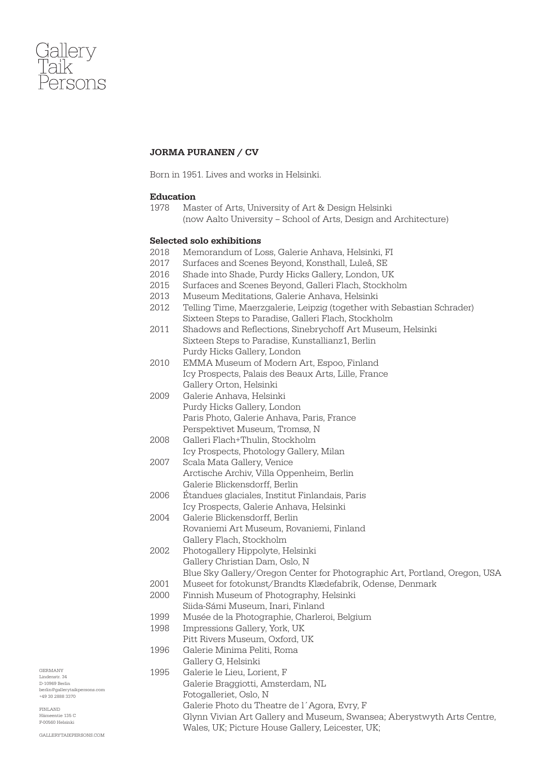

# JORMA PURANEN / CV

Born in 1951. Lives and works in Helsinki.

## Education

1978 Master of Arts, University of Art & Design Helsinki (now Aalto University – School of Arts, Design and Architecture)

### Selected solo exhibitions

- 2018 Memorandum of Loss, Galerie Anhava, Helsinki, FI
- 2017 Surfaces and Scenes Beyond, Konsthall, Luleå, SE
- 2016 Shade into Shade, Purdy Hicks Gallery, London, UK
- 2015 Surfaces and Scenes Beyond, Galleri Flach, Stockholm
- 2013 Museum Meditations, Galerie Anhava, Helsinki
- 2012 Telling Time, Maerzgalerie, Leipzig (together with Sebastian Schrader) Sixteen Steps to Paradise, Galleri Flach, Stockholm
- 2011 Shadows and Reflections, Sinebrychoff Art Museum, Helsinki Sixteen Steps to Paradise, Kunstallianz1, Berlin Purdy Hicks Gallery, London
- 2010 EMMA Museum of Modern Art, Espoo, Finland Icy Prospects, Palais des Beaux Arts, Lille, France Gallery Orton, Helsinki
- 2009 Galerie Anhava, Helsinki Purdy Hicks Gallery, London Paris Photo, Galerie Anhava, Paris, France Perspektivet Museum, Tromsø, N
- 2008 Galleri Flach+Thulin, Stockholm Icy Prospects, Photology Gallery, Milan
- 2007 Scala Mata Gallery, Venice Arctische Archiv, Villa Oppenheim, Berlin Galerie Blickensdorff, Berlin
- 2006 Étandues glaciales, Institut Finlandais, Paris Icy Prospects, Galerie Anhava, Helsinki
- 2004 Galerie Blickensdorff, Berlin Rovaniemi Art Museum, Rovaniemi, Finland Gallery Flach, Stockholm
- 2002 Photogallery Hippolyte, Helsinki Gallery Christian Dam, Oslo, N Blue Sky Gallery/Oregon Center for Photographic Art, Portland, Oregon, USA
- 2001 Museet for fotokunst/Brandts Klædefabrik, Odense, Denmark
- 2000 Finnish Museum of Photography, Helsinki
- Siida-Sámi Museum, Inari, Finland
- 1999 Musée de la Photographie, Charleroi, Belgium
- 1998 Impressions Gallery, York, UK
- Pitt Rivers Museum, Oxford, UK
- 1996 Galerie Minima Peliti, Roma
	- Gallery G, Helsinki
- 1995 Galerie le Lieu, Lorient, F
	- Galerie Braggiotti, Amsterdam, NL
		- Fotogalleriet, Oslo, N
	- Galerie Photo du Theatre de l´Agora, Evry, F
	- Glynn Vivian Art Gallery and Museum, Swansea; Aberystwyth Arts Centre, Wales, UK; Picture House Gallery, Leicester, UK;
- gallerytaikpersons.com

berlin@gallerytaikpersons.com +49 30 2888 3370

Germany Lindenstr. 34 D-10969 Berlin

Finland  $m<sub>th</sub>$  125  $C$ F-00560 Helsinki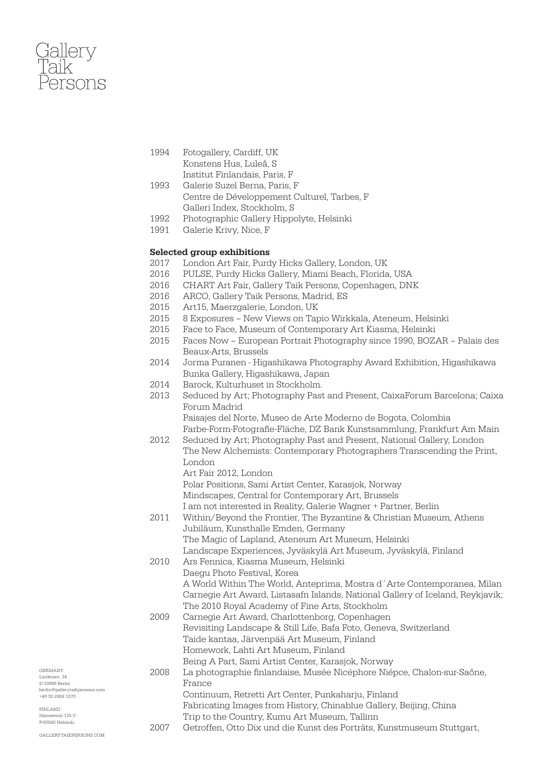

- 1994 Fotogallery, Cardiff, UK Konstens Hus, Luleå, S Institut Finlandais, Paris, F
- 1993 Galerie Suzel Berna, Paris, F Centre de Développement Culturel, Tarbes, F Galleri Index, Stockholm, S
- 1992 Photographic Gallery Hippolyte, Helsinki
- 1991 Galerie Krivy, Nice, F

### Selected group exhibitions

- 2017 London Art Fair, Purdy Hicks Gallery, London, UK
- 2016 PULSE, Purdy Hicks Gallery, Miami Beach, Florida, USA
- 2016 CHART Art Fair, Gallery Taik Persons, Copenhagen, DNK
- 2016 ARCO, Gallery Taik Persons, Madrid, ES
- 2015 Art15, Maerzgalerie, London, UK
- 2015 8 Exposures New Views on Tapio Wirkkala, Ateneum, Helsinki
- Face to Face, Museum of Contemporary Art Kiasma, Helsinki
- 2015 Faces Now European Portrait Photography since 1990, BOZAR Palais des Beaux-Arts, Brussels
- 2014 Jorma Puranen Higashikawa Photography Award Exhibition, Higashikawa Bunka Gallery, Higashikawa, Japan
- 2014 Barock, Kulturhuset in Stockholm.
- 2013 Seduced by Art; Photography Past and Present, CaixaForum Barcelona; Caixa Forum Madrid

Paisajes del Norte, Museo de Arte Moderno de Bogota, Colombia Farbe-Form-Fotografie-Fläche, DZ Bank Kunstsammlung, Frankfurt Am Main

- 2012 Seduced by Art; Photography Past and Present, National Gallery, London The New Alchemists: Contemporary Photographers Transcending the Print, London
	- Art Fair 2012, London

Polar Positions, Sami Artist Center, Karasjok, Norway

Mindscapes, Central for Contemporary Art, Brussels

- I am not interested in Reality, Galerie Wagner + Partner, Berlin
- 2011 Within/Beyond the Frontier, The Byzantine & Christian Museum, Athens Jubiläum, Kunsthalle Emden, Germany

The Magic of Lapland, Ateneum Art Museum, Helsinki

Landscape Experiences, Jyväskylä Art Museum, Jyväskylä, Finland

2010 Ars Fennica, Kiasma Museum, Helsinki Daegu Photo Festival, Korea A World Within The World, Anteprima, Mostra d´Arte Contemporanea, Milan

Carnegie Art Award, Listasafn Islands, National Gallery of Iceland, Reykjavik; The 2010 Royal Academy of Fine Arts, Stockholm

2009 Carnegie Art Award, Charlottenborg, Copenhagen Revisiting Landscape & Still Life, Bafa Foto, Geneva, Switzerland Taide kantaa, Järvenpää Art Museum, Finland Homework, Lahti Art Museum, Finland

Being A Part, Sami Artist Center, Karasjok, Norway

2008 La photographie finlandaise, Musée Nicéphore Niépce, Chalon-sur-Saône, France Continuum, Retretti Art Center, Punkaharju, Finland

Fabricating Images from History, Chinablue Gallery, Beijing, China Trip to the Country, Kumu Art Museum, Tallinn

2007 Getroffen, Otto Dix und die Kunst des Porträts, Kunstmuseum Stuttgart,

gallerytaikpersons.com

berlin@gallerytaikpersons.com +49 30 2888 3370

Germany Lindenstr. 34 D-10969 Berlin

Finland  $m<sub>th</sub>$  125  $C$ F-00560 Helsinki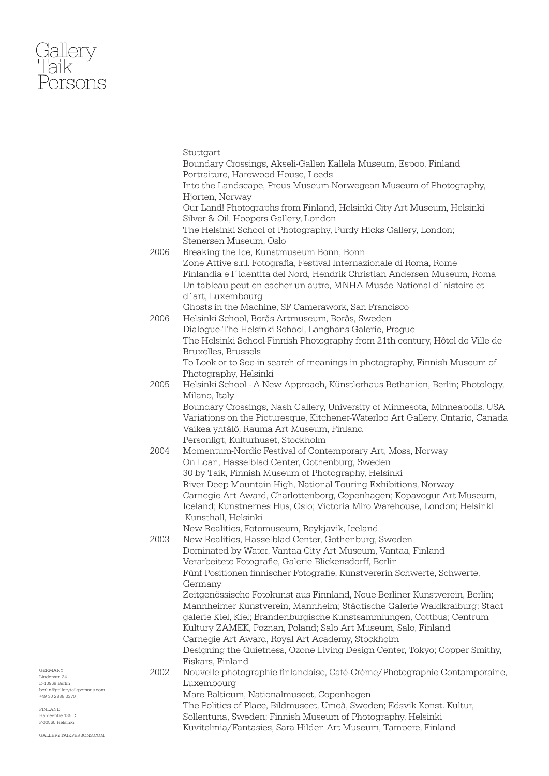# Gallery<br>Taik<br>Persons

|      | Stuttgart                                                                                                                     |
|------|-------------------------------------------------------------------------------------------------------------------------------|
|      | Boundary Crossings, Akseli-Gallen Kallela Museum, Espoo, Finland                                                              |
|      | Portraiture, Harewood House, Leeds                                                                                            |
|      | Into the Landscape, Preus Museum-Norwegean Museum of Photography,                                                             |
|      | Hjorten, Norway                                                                                                               |
|      | Our Land! Photographs from Finland, Helsinki City Art Museum, Helsinki                                                        |
|      | Silver & Oil, Hoopers Gallery, London                                                                                         |
|      | The Helsinki School of Photography, Purdy Hicks Gallery, London;                                                              |
|      | Stenersen Museum, Oslo                                                                                                        |
| 2006 | Breaking the Ice, Kunstmuseum Bonn, Bonn                                                                                      |
|      | Zone Attive s.r.l. Fotografia, Festival Internazionale di Roma, Rome                                                          |
|      | Finlandia e l'identita del Nord, Hendrik Christian Andersen Museum, Roma                                                      |
|      |                                                                                                                               |
|      | Un tableau peut en cacher un autre, MNHA Musée National d'histoire et<br>d'art, Luxembourg                                    |
|      |                                                                                                                               |
|      | Ghosts in the Machine, SF Camerawork, San Francisco                                                                           |
| 2006 | Helsinki School, Borås Artmuseum, Borås, Sweden                                                                               |
|      | Dialogue-The Helsinki School, Langhans Galerie, Prague                                                                        |
|      | The Helsinki School-Finnish Photography from 21th century, Hôtel de Ville de                                                  |
|      | Bruxelles, Brussels                                                                                                           |
|      | To Look or to See-in search of meanings in photography, Finnish Museum of                                                     |
|      | Photography, Helsinki                                                                                                         |
| 2005 | Helsinki School - A New Approach, Künstlerhaus Bethanien, Berlin; Photology,                                                  |
|      | Milano, Italy                                                                                                                 |
|      | Boundary Crossings, Nash Gallery, University of Minnesota, Minneapolis, USA                                                   |
|      | Variations on the Picturesque, Kitchener-Waterloo Art Gallery, Ontario, Canada                                                |
|      | Vaikea yhtälö, Rauma Art Museum, Finland                                                                                      |
|      | Personligt, Kulturhuset, Stockholm                                                                                            |
| 2004 | Momentum-Nordic Festival of Contemporary Art, Moss, Norway                                                                    |
|      | On Loan, Hasselblad Center, Gothenburg, Sweden                                                                                |
|      | 30 by Taik, Finnish Museum of Photography, Helsinki                                                                           |
|      | River Deep Mountain High, National Touring Exhibitions, Norway                                                                |
|      |                                                                                                                               |
|      | Carnegie Art Award, Charlottenborg, Copenhagen; Kopavogur Art Museum,                                                         |
|      | Iceland; Kunstnernes Hus, Oslo; Victoria Miro Warehouse, London; Helsinki                                                     |
|      | Kunsthall, Helsinki                                                                                                           |
|      | New Realities, Fotomuseum, Reykjavik, Iceland                                                                                 |
| 2003 | New Realities, Hasselblad Center, Gothenburg, Sweden                                                                          |
|      | Dominated by Water, Vantaa City Art Museum, Vantaa, Finland                                                                   |
|      | Verarbeitete Fotografie, Galerie Blickensdorff, Berlin                                                                        |
|      | Fünf Positionen finnischer Fotografie, Kunstvererin Schwerte, Schwerte,                                                       |
|      | Germany                                                                                                                       |
|      | Zeitgenössische Fotokunst aus Finnland, Neue Berliner Kunstverein, Berlin;                                                    |
|      | Mannheimer Kunstverein, Mannheim; Städtische Galerie Waldkraiburg; Stadt                                                      |
|      | galerie Kiel, Kiel; Brandenburgische Kunstsammlungen, Cottbus; Centrum                                                        |
|      | Kultury ZAMEK, Poznan, Poland; Salo Art Museum, Salo, Finland                                                                 |
|      | Carnegie Art Award, Royal Art Academy, Stockholm                                                                              |
|      | Designing the Quietness, Ozone Living Design Center, Tokyo; Copper Smithy,                                                    |
|      | Fiskars, Finland                                                                                                              |
| 2002 |                                                                                                                               |
|      | Nouvelle photographie finlandaise, Café-Crème/Photographie Contamporaine,<br>Luxembourg                                       |
|      | Mare Balticum, Nationalmuseet, Copenhagen                                                                                     |
|      |                                                                                                                               |
|      | The Politics of Place, Bildmuseet, Umeå, Sweden; Edsvik Konst. Kultur,                                                        |
|      | Sollentuna, Sweden; Finnish Museum of Photography, Helsinki<br>Kuvitelmia/Fantasies, Sara Hilden Art Museum, Tampere, Finland |

Germany Lindenstr. 34 D-10969 Berlin berlin@gallerytaikpersons.com +49 30 2888 3370

Finland Hämeentie 135 C F-00560 Helsinki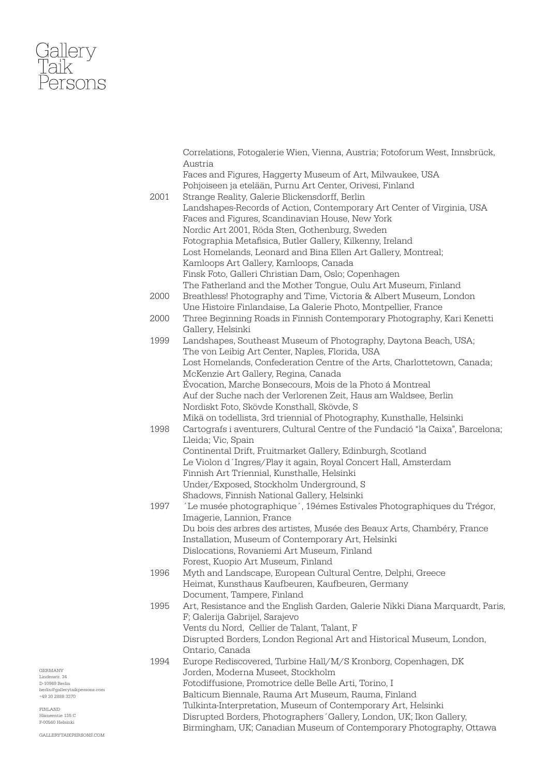

|      | Correlations, Fotogalerie Wien, Vienna, Austria; Fotoforum West, Innsbrück,     |
|------|---------------------------------------------------------------------------------|
|      | Austria                                                                         |
|      | Faces and Figures, Haggerty Museum of Art, Milwaukee, USA                       |
|      | Pohjoiseen ja etelään, Purnu Art Center, Orivesi, Finland                       |
| 2001 | Strange Reality, Galerie Blickensdorff, Berlin                                  |
|      | Landshapes-Records of Action, Contemporary Art Center of Virginia, USA          |
|      | Faces and Figures, Scandinavian House, New York                                 |
|      | Nordic Art 2001, Röda Sten, Gothenburg, Sweden                                  |
|      | Fotographia Metafisica, Butler Gallery, Kilkenny, Ireland                       |
|      | Lost Homelands, Leonard and Bina Ellen Art Gallery, Montreal;                   |
|      | Kamloops Art Gallery, Kamloops, Canada                                          |
|      | Finsk Foto, Galleri Christian Dam, Oslo; Copenhagen                             |
|      |                                                                                 |
|      | The Fatherland and the Mother Tongue, Oulu Art Museum, Finland                  |
| 2000 | Breathless! Photography and Time, Victoria & Albert Museum, London              |
|      | Une Histoire Finlandaise, La Galerie Photo, Montpellier, France                 |
| 2000 | Three Beginning Roads in Finnish Contemporary Photography, Kari Kenetti         |
|      | Gallery, Helsinki                                                               |
| 1999 | Landshapes, Southeast Museum of Photography, Daytona Beach, USA;                |
|      | The von Leibig Art Center, Naples, Florida, USA                                 |
|      | Lost Homelands, Confederation Centre of the Arts, Charlottetown, Canada;        |
|      | McKenzie Art Gallery, Regina, Canada                                            |
|      | Évocation, Marche Bonsecours, Mois de la Photo á Montreal                       |
|      | Auf der Suche nach der Verlorenen Zeit, Haus am Waldsee, Berlin                 |
|      | Nordiskt Foto, Skövde Konsthall, Skövde, S                                      |
|      | Mikä on todellista, 3rd triennial of Photography, Kunsthalle, Helsinki          |
| 1998 | Cartografs i aventurers, Cultural Centre of the Fundació "la Caixa", Barcelona; |
|      | Lleida; Vic, Spain                                                              |
|      | Continental Drift, Fruitmarket Gallery, Edinburgh, Scotland                     |
|      | Le Violon d'Ingres/Play it again, Royal Concert Hall, Amsterdam                 |
|      | Finnish Art Triennial, Kunsthalle, Helsinki                                     |
|      | Under/Exposed, Stockholm Underground, S                                         |
|      | Shadows, Finnish National Gallery, Helsinki                                     |
| 1997 | 'Le musée photographique', 19émes Estivales Photographiques du Trégor,          |
|      | Imagerie, Lannion, France                                                       |
|      | Du bois des arbres des artistes, Musée des Beaux Arts, Chambéry, France         |
|      | Installation, Museum of Contemporary Art, Helsinki                              |
|      |                                                                                 |
|      | Dislocations, Rovaniemi Art Museum, Finland                                     |
|      | Forest, Kuopio Art Museum, Finland                                              |
| 1996 | Myth and Landscape, European Cultural Centre, Delphi, Greece                    |
|      | Heimat, Kunsthaus Kaufbeuren, Kaufbeuren, Germany                               |
|      | Document, Tampere, Finland                                                      |
| 1995 | Art, Resistance and the English Garden, Galerie Nikki Diana Marquardt, Paris,   |
|      | F; Galerija Gabrijel, Sarajevo                                                  |
|      | Vents du Nord, Cellier de Talant, Talant, F                                     |
|      | Disrupted Borders, London Regional Art and Historical Museum, London,           |
|      | Ontario, Canada                                                                 |
| 1994 | Europe Rediscovered, Turbine Hall/M/S Kronborg, Copenhagen, DK                  |
|      | Jorden, Moderna Museet, Stockholm                                               |
|      | Fotodiffusione, Promotrice delle Belle Arti, Torino, I                          |
|      | Balticum Biennale, Rauma Art Museum, Rauma, Finland                             |
|      | Tulkinta-Interpretation, Museum of Contemporary Art, Helsinki                   |
|      | Disrupted Borders, Photographers' Gallery, London, UK; Ikon Gallery,            |
|      | Birmingham, UK; Canadian Museum of Contemporary Photography, Ottawa             |
|      |                                                                                 |

Germany Lindenstr. 34 D-10969 Berlin berlin@gallerytaikpersons.com +49 30 2888 3370

Finland Hämeentie 135 C F-00560 Helsinki

gallerytaikpersons.com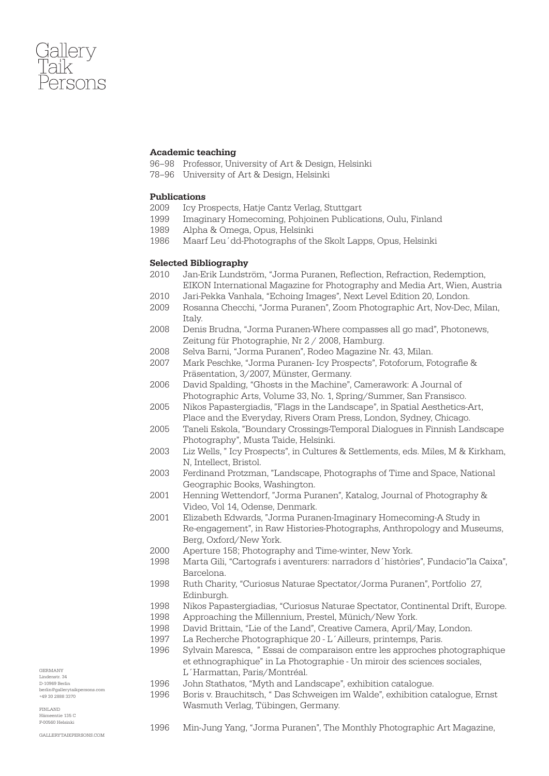

## Academic teaching

- 96–98 Professor, University of Art & Design, Helsinki
- 78–96 University of Art & Design, Helsinki

## Publications

- 2009 Icy Prospects, Hatje Cantz Verlag, Stuttgart
- 1999 Imaginary Homecoming, Pohjoinen Publications, Oulu, Finland
- 1989 Alpha & Omega, Opus, Helsinki
- 1986 Maarf Leu´dd-Photographs of the Skolt Lapps, Opus, Helsinki

### Selected Bibliography

- 2010 Jan-Erik Lundström, "Jorma Puranen, Reflection, Refraction, Redemption, EIKON International Magazine for Photography and Media Art, Wien, Austria
- 2010 Jari-Pekka Vanhala, "Echoing Images", Next Level Edition 20, London.
- 2009 Rosanna Checchi, "Jorma Puranen", Zoom Photographic Art, Nov-Dec, Milan, Italy.
- 2008 Denis Brudna, "Jorma Puranen-Where compasses all go mad", Photonews, Zeitung für Photographie, Nr 2 / 2008, Hamburg.
- 2008 Selva Barni, "Jorma Puranen", Rodeo Magazine Nr. 43, Milan.
- 2007 Mark Peschke, "Jorma Puranen- Icy Prospects", Fotoforum, Fotografie & Präsentation, 3/2007, Münster, Germany.
- 2006 David Spalding, "Ghosts in the Machine", Camerawork: A Journal of Photographic Arts, Volume 33, No. 1, Spring/Summer, San Fransisco.
- 2005 Nikos Papastergiadis, "Flags in the Landscape", in Spatial Aesthetics-Art, Place and the Everyday, Rivers Oram Press, London, Sydney, Chicago.
- 2005 Taneli Eskola, "Boundary Crossings-Temporal Dialogues in Finnish Landscape Photography", Musta Taide, Helsinki.
- 2003 Liz Wells, " Icy Prospects", in Cultures & Settlements, eds. Miles, M & Kirkham, N, Intellect, Bristol.
- 2003 Ferdinand Protzman, "Landscape, Photographs of Time and Space, National Geographic Books, Washington.
- 2001 Henning Wettendorf, "Jorma Puranen", Katalog, Journal of Photography & Video, Vol 14, Odense, Denmark.
- 2001 Elizabeth Edwards, "Jorma Puranen-Imaginary Homecoming-A Study in Re-engagement", in Raw Histories-Photographs, Anthropology and Museums, Berg, Oxford/New York.
- 2000 Aperture 158; Photography and Time-winter, New York.
- 1998 Marta Gili, "Cartografs i aventurers: narradors d´històries", Fundacio"la Caixa", Barcelona.
- 1998 Ruth Charity, "Curiosus Naturae Spectator/Jorma Puranen", Portfolio 27, Edinburgh.
- 1998 Nikos Papastergiadias, "Curiosus Naturae Spectator, Continental Drift, Europe.
- 1998 Approaching the Millennium, Prestel, Münich/New York.
- 1998 David Brittain, "Lie of the Land", Creative Camera, April/May, London.
- 1997 La Recherche Photographique 20 L´Ailleurs, printemps, Paris.
- 1996 Sylvain Maresca, " Essai de comparaison entre les approches photographique et ethnographique" in La Photographie - Un miroir des sciences sociales, L´Harmattan, Paris/Montréal.
- 1996 John Stathatos, "Myth and Landscape", exhibition catalogue.
- 1996 Boris v. Brauchitsch, " Das Schweigen im Walde", exhibition catalogue, Ernst Wasmuth Verlag, Tübingen, Germany.
- Finland  $min$  125  $C$ F-00560 Helsinki

Germany Lindenstr. 34 D-10969 Berlin

gallerytaikpersons.com

berlin@gallerytaikpersons.com +49 30 2888 3370

1996 Min-Jung Yang, "Jorma Puranen", The Monthly Photographic Art Magazine,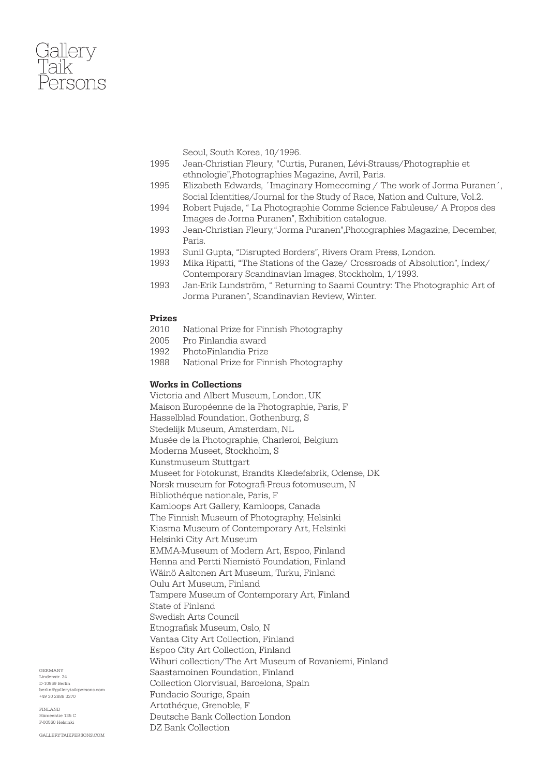

Seoul, South Korea, 10/1996.

- 1995 Jean-Christian Fleury, "Curtis, Puranen, Lévi-Strauss/Photographie et ethnologie",Photographies Magazine, Avril, Paris.
- 1995 Elizabeth Edwards, ´Imaginary Homecoming / The work of Jorma Puranen´, Social Identities/Journal for the Study of Race, Nation and Culture, Vol.2.
- 1994 Robert Pujade, " La Photographie Comme Science Fabuleuse/ A Propos des Images de Jorma Puranen", Exhibition catalogue.
- 1993 Jean-Christian Fleury,"Jorma Puranen",Photographies Magazine, December, Paris.
- 1993 Sunil Gupta, "Disrupted Borders", Rivers Oram Press, London.
- 1993 Mika Ripatti, "The Stations of the Gaze/ Crossroads of Absolution", Index/ Contemporary Scandinavian Images, Stockholm, 1/1993.
- 1993 Jan-Erik Lundström, " Returning to Saami Country: The Photographic Art of Jorma Puranen", Scandinavian Review, Winter.

### Prizes

- 2010 National Prize for Finnish Photography
- 2005 Pro Finlandia award
- 1992 PhotoFinlandia Prize
- 1988 National Prize for Finnish Photography

## Works in Collections

Victoria and Albert Museum, London, UK Maison Européenne de la Photographie, Paris, F Hasselblad Foundation, Gothenburg, S Stedelijk Museum, Amsterdam, NL Musée de la Photographie, Charleroi, Belgium Moderna Museet, Stockholm, S Kunstmuseum Stuttgart Museet for Fotokunst, Brandts Klædefabrik, Odense, DK Norsk museum for Fotografi-Preus fotomuseum, N Bibliothéque nationale, Paris, F Kamloops Art Gallery, Kamloops, Canada The Finnish Museum of Photography, Helsinki Kiasma Museum of Contemporary Art, Helsinki Helsinki City Art Museum EMMA-Museum of Modern Art, Espoo, Finland Henna and Pertti Niemistö Foundation, Finland Wäinö Aaltonen Art Museum, Turku, Finland Oulu Art Museum, Finland Tampere Museum of Contemporary Art, Finland State of Finland Swedish Arts Council Etnografisk Museum, Oslo, N Vantaa City Art Collection, Finland Espoo City Art Collection, Finland Wihuri collection/The Art Museum of Rovaniemi, Finland Saastamoinen Foundation, Finland Collection Olorvisual, Barcelona, Spain Fundacio Sourige, Spain Artothéque, Grenoble, F Deutsche Bank Collection London DZ Bank Collection

Germany Lindenstr. 34 D-10969 Berlin berlin@gallerytaikpersons.com +49 30 2888 3370

Finland  $m<sub>th</sub>$  125  $C$ F-00560 Helsinki

gallerytaikpersons.com